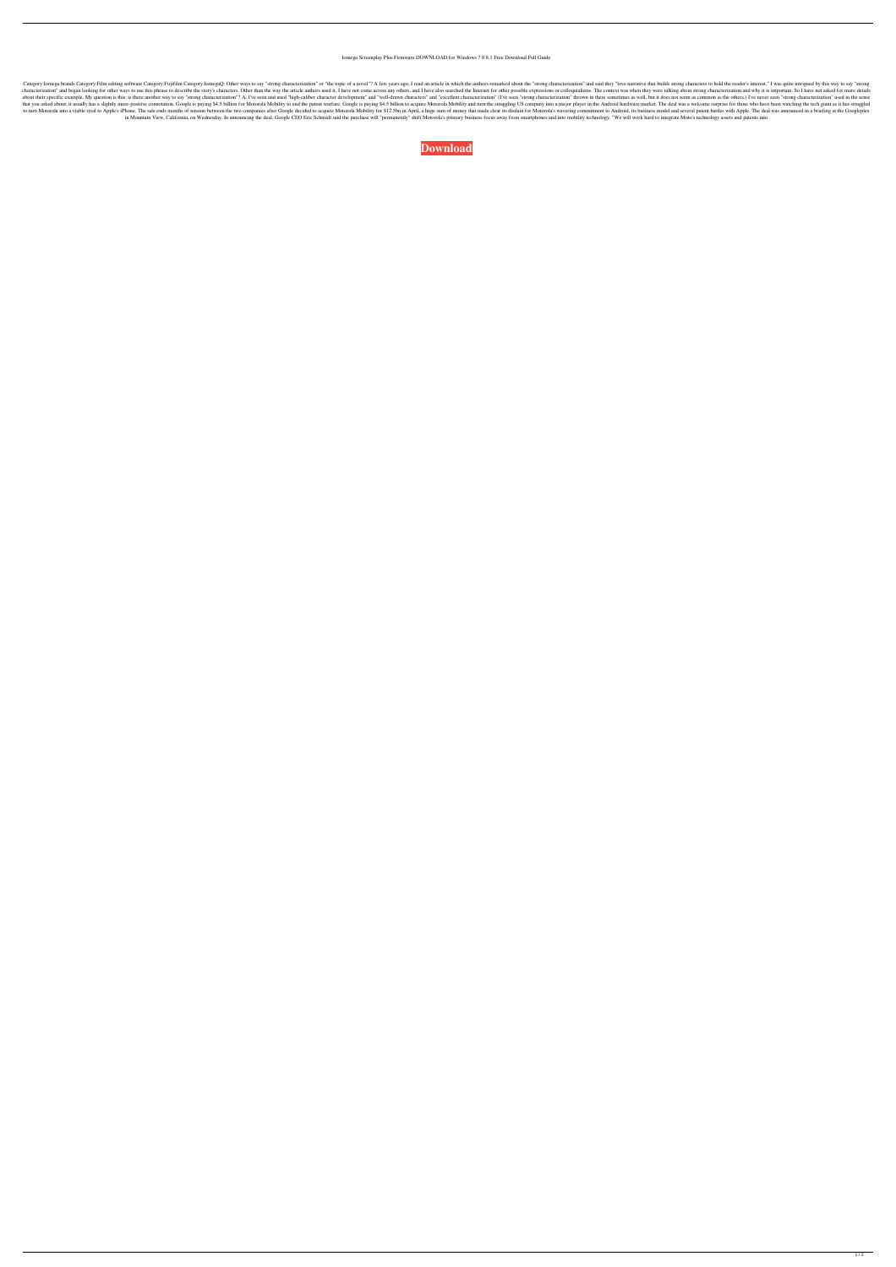## Iomega Screenplay Plus Firmware DOWNLOAD for Windows 7 8 8.1 Free Download Full Guide

Category:Fomega brands Category:Film editing software Category:Fujifilm Category:Fujifilm Category:Fujifilm Category:IomegaQ: Other ways to say "strong characterization" or "the topic of a novel"? A few years ago, I read a characterization" and began looking for other ways to use this phrase to describe the story's characters. Other than the way the article authors used it, I have not come across any others, and I have also searched the Inte about their specific example. My question is this: is there another way to say "strong characterization"? A: I've seen and used "high-caliber character development" and "well-drawn characterization" (I've seen "strong char that you asked about; it usually has a slightly more-positive connotation. Google is paying \$4.5 billion for Motorola Mobility to end the patent warfare. Google is paying \$4.5 billion to acquire Motorola Mobility and turn to turn Motorola into a viable rival to Apple's iPhone. The sale ends months of tension between the two companies after Google decided to acquire Motorola Mobility for \$12.5bn in April, a huge sum of money that made clear in Mountain View, California, on Wednesday. In announcing the deal, Google CEO Eric Schmidt said the purchase will "permanently" shift Motorola's primary business focus away from smartphones and into mobility technology. "